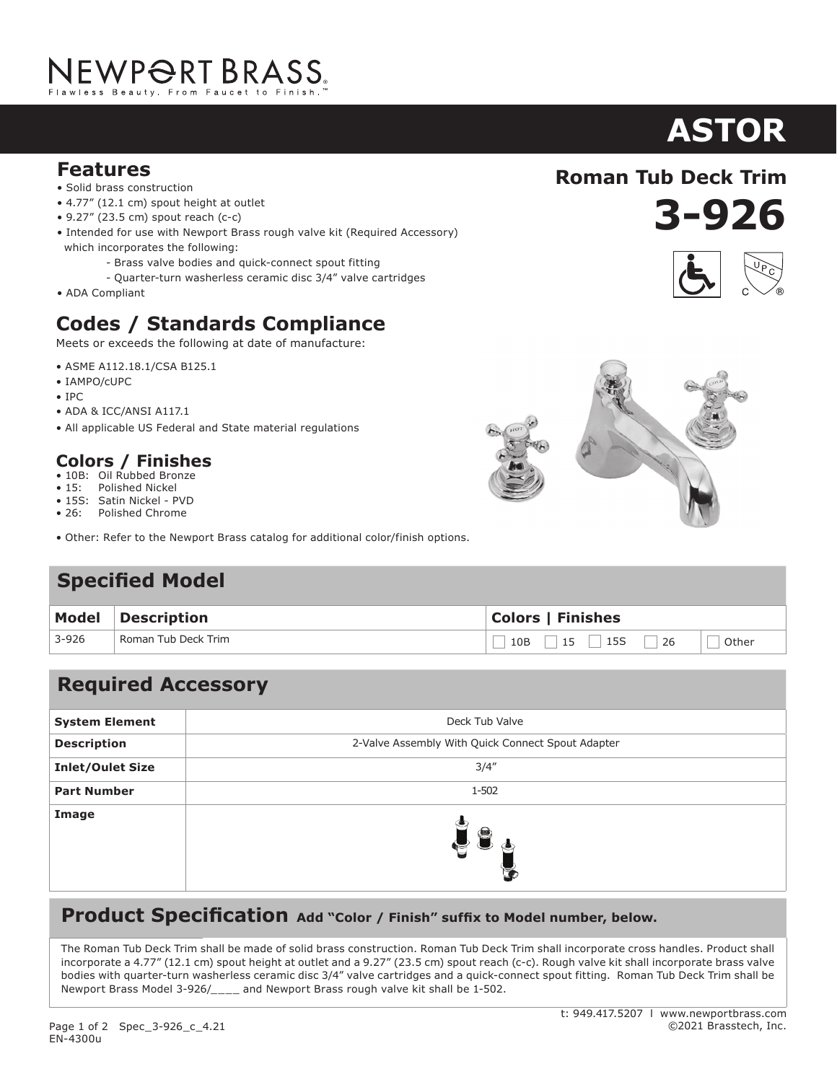# NEWPORT BRASS.

### **Features**

- Solid brass construction
- 4.77" (12.1 cm) spout height at outlet
- 9.27" (23.5 cm) spout reach (c-c)
- Intended for use with Newport Brass rough valve kit (Required Accessory) which incorporates the following:
	- Brass valve bodies and quick-connect spout fitting
	- Quarter-turn washerless ceramic disc 3/4" valve cartridges
- ADA Compliant

# **Codes / Standards Compliance**

Meets or exceeds the following at date of manufacture:

- ASME A112.18.1/CSA B125.1
- IAMPO/cUPC
- IPC
- ADA & ICC/ANSI A117.1
- All applicable US Federal and State material regulations

## **Colors / Finishes**

- 10B: Oil Rubbed Bronze<br>• 15: Polished Nickel
- Polished Nickel
- 15S: Satin Nickel PVD • 26: Polished Chrome
- Other: Refer to the Newport Brass catalog for additional color/finish options.

# **Specified Model**

|           | Model Description   | <b>Colors   Finishes</b>      |  |
|-----------|---------------------|-------------------------------|--|
| $3 - 926$ | Roman Tub Deck Trim | $10B$ 15 $15$ 15S 26<br>Other |  |

# **Required Accessory**

| <b>System Element</b>   | Deck Tub Valve                                    |
|-------------------------|---------------------------------------------------|
| <b>Description</b>      | 2-Valve Assembly With Quick Connect Spout Adapter |
| <b>Inlet/Oulet Size</b> | 3/4''                                             |
| <b>Part Number</b>      | 1-502                                             |
| Image                   | $\blacksquare$                                    |

#### **Product Specification** Add "Color / Finish" suffix to Model number, below.

The Roman Tub Deck Trim shall be made of solid brass construction. Roman Tub Deck Trim shall incorporate cross handles. Product shall incorporate a 4.77" (12.1 cm) spout height at outlet and a 9.27" (23.5 cm) spout reach (c-c). Rough valve kit shall incorporate brass valve bodies with quarter-turn washerless ceramic disc 3/4" valve cartridges and a quick-connect spout fitting. Roman Tub Deck Trim shall be Newport Brass Model 3-926/\_\_\_\_ and Newport Brass rough valve kit shall be 1-502.

#### t: 949.417.5207 l www.newportbrass.com ©2021 Brasstech, Inc.

# **ASTOR**





**3-926 Roman Tub Deck Trim**